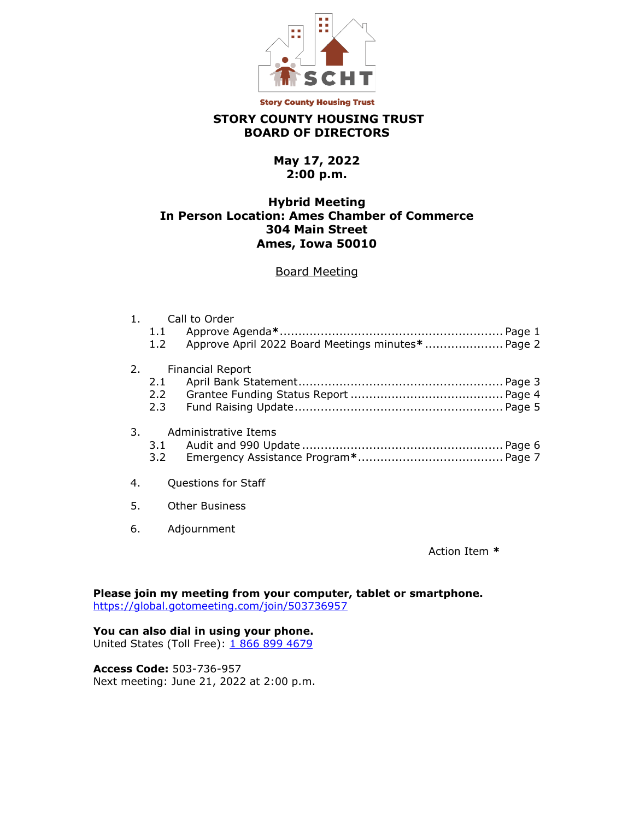

**Story County Housing Trust** 

# **STORY COUNTY HOUSING TRUST BOARD OF DIRECTORS**

# **May 17, 2022 2:00 p.m.**

## **Hybrid Meeting In Person Location: Ames Chamber of Commerce 304 Main Street Ames, Iowa 50010**

## Board Meeting

| $\mathbf{1}$ . | Call to Order                 |                                                    |
|----------------|-------------------------------|----------------------------------------------------|
|                |                               |                                                    |
|                | 1.2                           | Approve April 2022 Board Meetings minutes*  Page 2 |
|                | <b>Financial Report</b><br>2. |                                                    |
|                | 2.1                           |                                                    |
|                |                               |                                                    |
|                | $2.3 -$                       |                                                    |
| 3.             | 3.1<br>3.2                    | Administrative Items                               |
| 4.             | Questions for Staff           |                                                    |
| 5.             | <b>Other Business</b>         |                                                    |
| 6.             | Adjournment                   |                                                    |

Action Item **\***

**Please join my meeting from your computer, tablet or smartphone.**  <https://global.gotomeeting.com/join/503736957>

## **You can also dial in using your phone.**

United States (Toll Free): [1 866 899 4679](tel:+18668994679,,503736957)

**Access Code:** 503-736-957 Next meeting: June 21, 2022 at 2:00 p.m.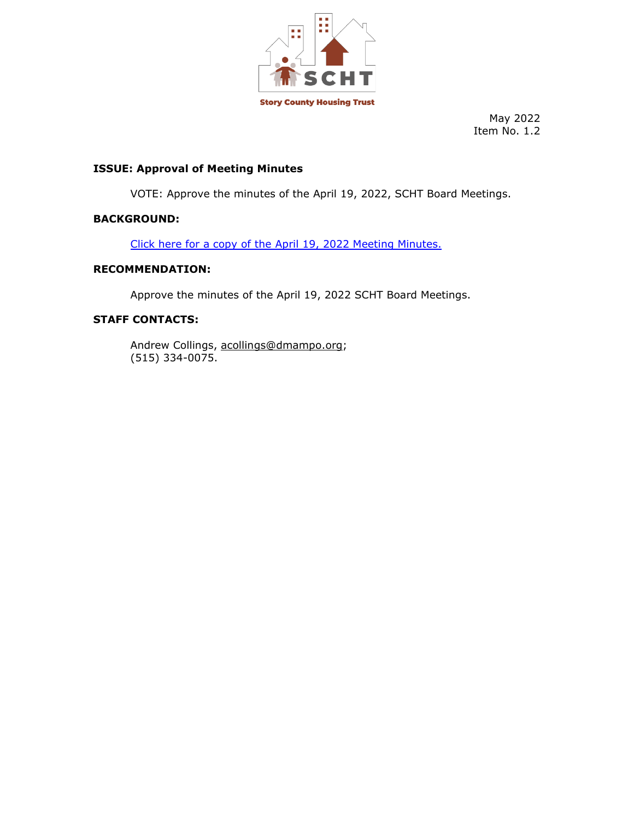

May 2022 Item No. 1.2

## **ISSUE: Approval of Meeting Minutes**

VOTE: Approve the minutes of the April 19, 2022, SCHT Board Meetings.

## **BACKGROUND:**

[Click here for a copy of the April 19, 2022 Meeting Minutes.](https://cirtpadotorg.files.wordpress.com/2022/05/scht-april-19-2022-meeting-minutes.pdf)

## **RECOMMENDATION:**

Approve the minutes of the April 19, 2022 SCHT Board Meetings.

## **STAFF CONTACTS:**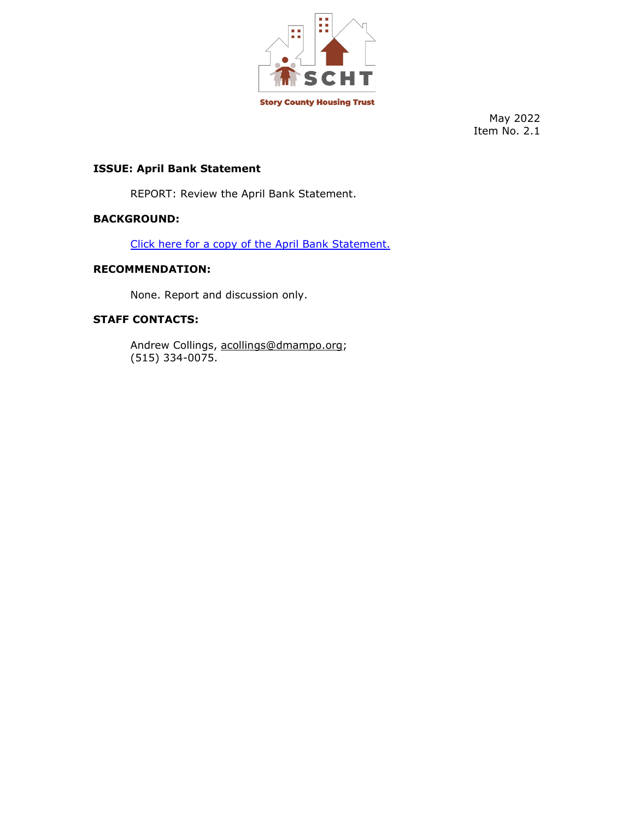

May 2022 Item No. 2.1

## **ISSUE: April Bank Statement**

REPORT: Review the April Bank Statement.

## **BACKGROUND:**

[Click here for a copy of the](https://cirtpadotorg.files.wordpress.com/2022/05/april-2022-bank-statement.pdf) April Bank Statement.

## **RECOMMENDATION:**

None. Report and discussion only.

## **STAFF CONTACTS:**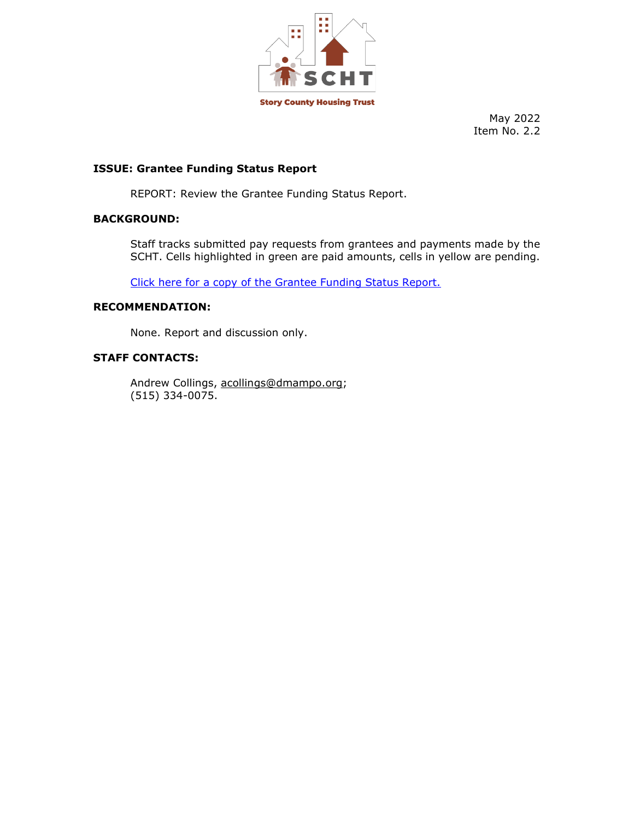

May 2022 Item No. 2.2

## **ISSUE: Grantee Funding Status Report**

REPORT: Review the Grantee Funding Status Report.

## **BACKGROUND:**

Staff tracks submitted pay requests from grantees and payments made by the SCHT. Cells highlighted in green are paid amounts, cells in yellow are pending.

[Click here for a copy of the Grantee Funding Status Report.](https://cirtpadotorg.files.wordpress.com/2022/05/grantee-funding-status-report-may-2022.pdf)

#### **RECOMMENDATION:**

None. Report and discussion only.

#### **STAFF CONTACTS:**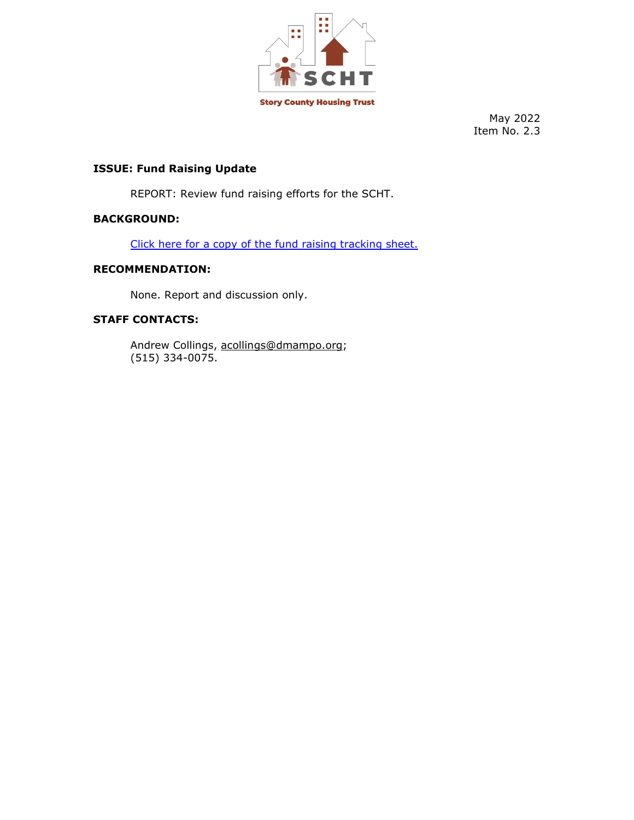

May 2022 Item No. 2.3

# **ISSUE: Fund Raising Update**

REPORT: Review fund raising efforts for the SCHT.

## **BACKGROUND:**

[Click here for a copy of the fund raising tracking sheet.](https://cirtpadotorg.files.wordpress.com/2022/05/local-match-summary-may-2022.pdf)

## **RECOMMENDATION:**

None. Report and discussion only.

# **STAFF CONTACTS:**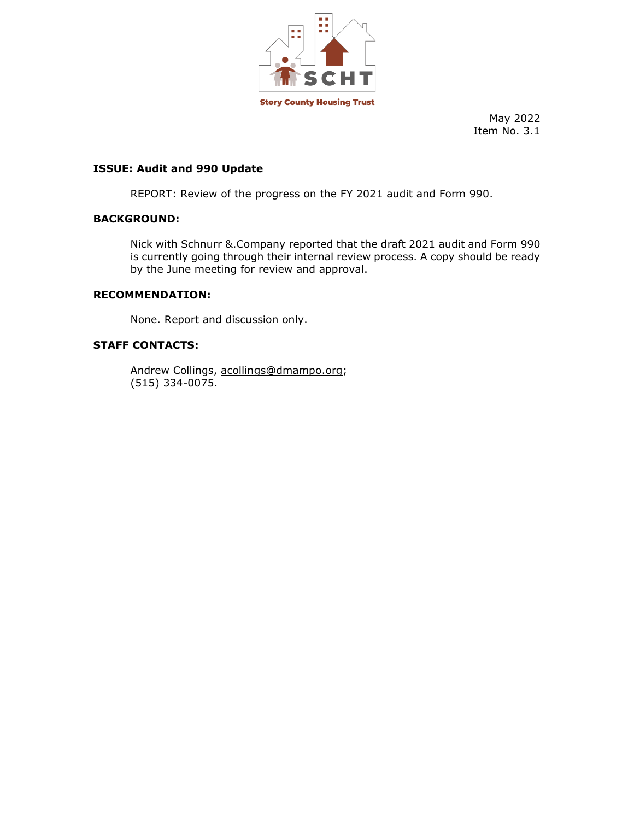

May 2022 Item No. 3.1

#### **ISSUE: Audit and 990 Update**

REPORT: Review of the progress on the FY 2021 audit and Form 990.

#### **BACKGROUND:**

Nick with Schnurr &.Company reported that the draft 2021 audit and Form 990 is currently going through their internal review process. A copy should be ready by the June meeting for review and approval.

## **RECOMMENDATION:**

None. Report and discussion only.

#### **STAFF CONTACTS:**